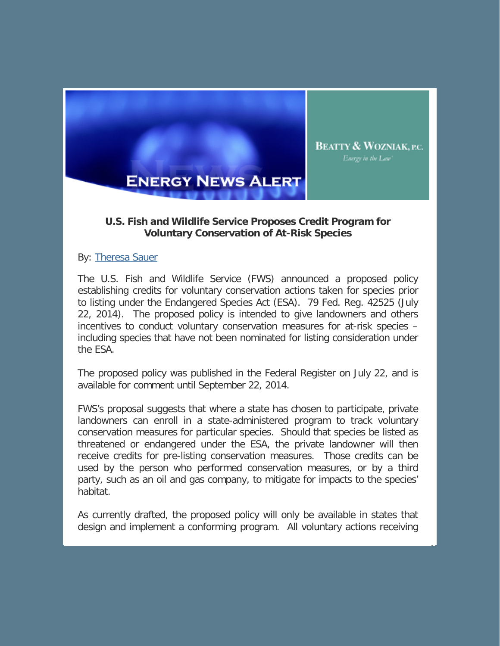

## **U.S. Fish and Wildlife Service Proposes Credit Program for Voluntary Conservation of At-Risk Species**

Energy in the Law'

By: Theresa Sauer

The U.S. Fish and Wildlife Service (FWS) announced a proposed policy establishing credits for voluntary conservation actions taken for species prior to listing under the Endangered Species Act (ESA). 79 Fed. Reg. 42525 (July 22, 2014). The proposed policy is intended to give landowners and others incentives to conduct voluntary conservation measures for at-risk species – including species that have not been nominated for listing consideration under the ESA.

The proposed policy was published in the Federal Register on July 22, and is available for comment until September 22, 2014.

FWS's proposal suggests that where a state has chosen to participate, private landowners can enroll in a state-administered program to track voluntary conservation measures for particular species. Should that species be listed as threatened or endangered under the ESA, the private landowner will then receive credits for pre-listing conservation measures. Those credits can be used by the person who performed conservation measures, or by a third party, such as an oil and gas company, to mitigate for impacts to the species' habitat.

As currently drafted, the proposed policy will only be available in states that design and implement a conforming program. All voluntary actions receiving